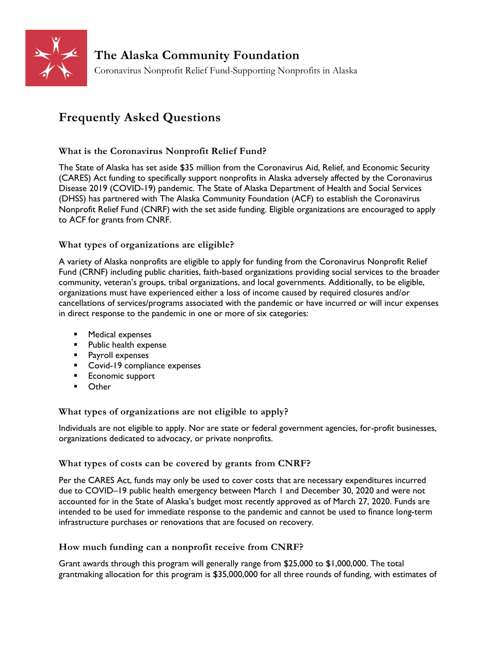

# **Frequently Asked Questions**

# **What is the Coronavirus Nonprofit Relief Fund?**

The State of Alaska has set aside \$35 million from the Coronavirus Aid, Relief, and Economic Security (CARES) Act funding to specifically support nonprofits in Alaska adversely affected by the Coronavirus Disease 2019 (COVID-19) pandemic. The State of Alaska Department of Health and Social Services (DHSS) has partnered with The Alaska Community Foundation (ACF) to establish the Coronavirus Nonprofit Relief Fund (CNRF) with the set aside funding. Eligible organizations are encouraged to apply to ACF for grants from CNRF.

# **What types of organizations are eligible?**

A variety of Alaska nonprofits are eligible to apply for funding from the Coronavirus Nonprofit Relief Fund (CRNF) including public charities, faith-based organizations providing social services to the broader community, veteran's groups, tribal organizations, and local governments. Additionally, to be eligible, organizations must have experienced either a loss of income caused by required closures and/or cancellations of services/programs associated with the pandemic or have incurred or will incur expenses in direct response to the pandemic in one or more of six categories:

- Medical expenses
- Public health expense
- Payroll expenses
- Covid-19 compliance expenses
- Economic support
- Other

# **What types of organizations are not eligible to apply?**

Individuals are not eligible to apply. Nor are state or federal government agencies, for-profit businesses, organizations dedicated to advocacy, or private nonprofits.

# **What types of costs can be covered by grants from CNRF?**

Per the CARES Act, funds may only be used to cover costs that are necessary expenditures incurred due to COVID–19 public health emergency between March 1 and December 30, 2020 and were not accounted for in the State of Alaska's budget most recently approved as of March 27, 2020. Funds are intended to be used for immediate response to the pandemic and cannot be used to finance long-term infrastructure purchases or renovations that are focused on recovery.

# **How much funding can a nonprofit receive from CNRF?**

Grant awards through this program will generally range from \$25,000 to \$1,000,000. The total grantmaking allocation for this program is \$35,000,000 for all three rounds of funding, with estimates of